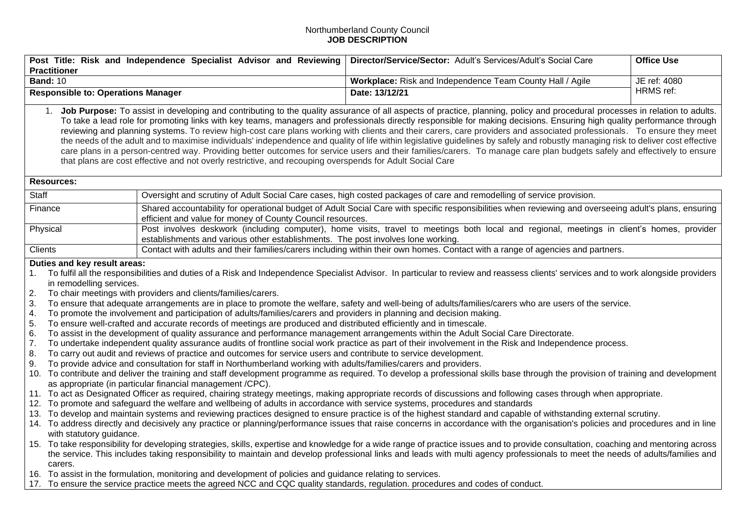## Northumberland County Council **JOB DESCRIPTION**

| <b>Practitioner</b>                                                                                                                                                                                                                                                                                                                                                                                                                                                                                                                                                                                                                                                                                                                                                                                                                                                                                                                                                                                                                                                                                                                                                                                                                                                                                                                                                                                                                                                                                                                                                                                                                                                                                                                                                                                                                                                                                                                                                                                                                                                                                                                                                                                                                                                                                                                                                                                                                                                                                                                                                                                                                                                    | Post Title: Risk and Independence Specialist Advisor and Reviewing                                                                                                                                                             | Director/Service/Sector: Adult's Services/Adult's Social Care | <b>Office Use</b> |  |  |
|------------------------------------------------------------------------------------------------------------------------------------------------------------------------------------------------------------------------------------------------------------------------------------------------------------------------------------------------------------------------------------------------------------------------------------------------------------------------------------------------------------------------------------------------------------------------------------------------------------------------------------------------------------------------------------------------------------------------------------------------------------------------------------------------------------------------------------------------------------------------------------------------------------------------------------------------------------------------------------------------------------------------------------------------------------------------------------------------------------------------------------------------------------------------------------------------------------------------------------------------------------------------------------------------------------------------------------------------------------------------------------------------------------------------------------------------------------------------------------------------------------------------------------------------------------------------------------------------------------------------------------------------------------------------------------------------------------------------------------------------------------------------------------------------------------------------------------------------------------------------------------------------------------------------------------------------------------------------------------------------------------------------------------------------------------------------------------------------------------------------------------------------------------------------------------------------------------------------------------------------------------------------------------------------------------------------------------------------------------------------------------------------------------------------------------------------------------------------------------------------------------------------------------------------------------------------------------------------------------------------------------------------------------------------|--------------------------------------------------------------------------------------------------------------------------------------------------------------------------------------------------------------------------------|---------------------------------------------------------------|-------------------|--|--|
| <b>Band: 10</b>                                                                                                                                                                                                                                                                                                                                                                                                                                                                                                                                                                                                                                                                                                                                                                                                                                                                                                                                                                                                                                                                                                                                                                                                                                                                                                                                                                                                                                                                                                                                                                                                                                                                                                                                                                                                                                                                                                                                                                                                                                                                                                                                                                                                                                                                                                                                                                                                                                                                                                                                                                                                                                                        |                                                                                                                                                                                                                                | Workplace: Risk and Independence Team County Hall / Agile     | JE ref: 4080      |  |  |
| <b>Responsible to: Operations Manager</b>                                                                                                                                                                                                                                                                                                                                                                                                                                                                                                                                                                                                                                                                                                                                                                                                                                                                                                                                                                                                                                                                                                                                                                                                                                                                                                                                                                                                                                                                                                                                                                                                                                                                                                                                                                                                                                                                                                                                                                                                                                                                                                                                                                                                                                                                                                                                                                                                                                                                                                                                                                                                                              |                                                                                                                                                                                                                                | Date: 13/12/21                                                | HRMS ref:         |  |  |
| 1. Job Purpose: To assist in developing and contributing to the quality assurance of all aspects of practice, planning, policy and procedural processes in relation to adults.<br>To take a lead role for promoting links with key teams, managers and professionals directly responsible for making decisions. Ensuring high quality performance through<br>reviewing and planning systems. To review high-cost care plans working with clients and their carers, care providers and associated professionals. To ensure they meet<br>the needs of the adult and to maximise individuals' independence and quality of life within legislative guidelines by safely and robustly managing risk to deliver cost effective<br>care plans in a person-centred way. Providing better outcomes for service users and their families/carers. To manage care plan budgets safely and effectively to ensure<br>that plans are cost effective and not overly restrictive, and recouping overspends for Adult Social Care                                                                                                                                                                                                                                                                                                                                                                                                                                                                                                                                                                                                                                                                                                                                                                                                                                                                                                                                                                                                                                                                                                                                                                                                                                                                                                                                                                                                                                                                                                                                                                                                                                                        |                                                                                                                                                                                                                                |                                                               |                   |  |  |
| <b>Resources:</b>                                                                                                                                                                                                                                                                                                                                                                                                                                                                                                                                                                                                                                                                                                                                                                                                                                                                                                                                                                                                                                                                                                                                                                                                                                                                                                                                                                                                                                                                                                                                                                                                                                                                                                                                                                                                                                                                                                                                                                                                                                                                                                                                                                                                                                                                                                                                                                                                                                                                                                                                                                                                                                                      |                                                                                                                                                                                                                                |                                                               |                   |  |  |
| Staff                                                                                                                                                                                                                                                                                                                                                                                                                                                                                                                                                                                                                                                                                                                                                                                                                                                                                                                                                                                                                                                                                                                                                                                                                                                                                                                                                                                                                                                                                                                                                                                                                                                                                                                                                                                                                                                                                                                                                                                                                                                                                                                                                                                                                                                                                                                                                                                                                                                                                                                                                                                                                                                                  | Oversight and scrutiny of Adult Social Care cases, high costed packages of care and remodelling of service provision.                                                                                                          |                                                               |                   |  |  |
| Finance                                                                                                                                                                                                                                                                                                                                                                                                                                                                                                                                                                                                                                                                                                                                                                                                                                                                                                                                                                                                                                                                                                                                                                                                                                                                                                                                                                                                                                                                                                                                                                                                                                                                                                                                                                                                                                                                                                                                                                                                                                                                                                                                                                                                                                                                                                                                                                                                                                                                                                                                                                                                                                                                | Shared accountability for operational budget of Adult Social Care with specific responsibilities when reviewing and overseeing adult's plans, ensuring<br>efficient and value for money of County Council resources.           |                                                               |                   |  |  |
| Physical                                                                                                                                                                                                                                                                                                                                                                                                                                                                                                                                                                                                                                                                                                                                                                                                                                                                                                                                                                                                                                                                                                                                                                                                                                                                                                                                                                                                                                                                                                                                                                                                                                                                                                                                                                                                                                                                                                                                                                                                                                                                                                                                                                                                                                                                                                                                                                                                                                                                                                                                                                                                                                                               | Post involves deskwork (including computer), home visits, travel to meetings both local and regional, meetings in client's homes, provider<br>establishments and various other establishments. The post involves lone working. |                                                               |                   |  |  |
| Clients                                                                                                                                                                                                                                                                                                                                                                                                                                                                                                                                                                                                                                                                                                                                                                                                                                                                                                                                                                                                                                                                                                                                                                                                                                                                                                                                                                                                                                                                                                                                                                                                                                                                                                                                                                                                                                                                                                                                                                                                                                                                                                                                                                                                                                                                                                                                                                                                                                                                                                                                                                                                                                                                | Contact with adults and their families/carers including within their own homes. Contact with a range of agencies and partners.                                                                                                 |                                                               |                   |  |  |
| Duties and key result areas:<br>To fulfil all the responsibilities and duties of a Risk and Independence Specialist Advisor. In particular to review and reassess clients' services and to work alongside providers<br>1 <sub>1</sub><br>in remodelling services.<br>2.<br>To chair meetings with providers and clients/families/carers.<br>3.<br>To ensure that adequate arrangements are in place to promote the welfare, safety and well-being of adults/families/carers who are users of the service.<br>To promote the involvement and participation of adults/families/carers and providers in planning and decision making.<br>4.<br>5.<br>To ensure well-crafted and accurate records of meetings are produced and distributed efficiently and in timescale.<br>6.<br>To assist in the development of quality assurance and performance management arrangements within the Adult Social Care Directorate.<br>7.<br>To undertake independent quality assurance audits of frontline social work practice as part of their involvement in the Risk and Independence process.<br>8.<br>To carry out audit and reviews of practice and outcomes for service users and contribute to service development.<br>9.<br>To provide advice and consultation for staff in Northumberland working with adults/families/carers and providers.<br>10. To contribute and deliver the training and staff development programme as required. To develop a professional skills base through the provision of training and development<br>as appropriate (in particular financial management /CPC).<br>11. To act as Designated Officer as required, chairing strategy meetings, making appropriate records of discussions and following cases through when appropriate.<br>12. To promote and safeguard the welfare and wellbeing of adults in accordance with service systems, procedures and standards<br>13. To develop and maintain systems and reviewing practices designed to ensure practice is of the highest standard and capable of withstanding external scrutiny.<br>14. To address directly and decisively any practice or planning/performance issues that raise concerns in accordance with the organisation's policies and procedures and in line<br>with statutory guidance.<br>15. To take responsibility for developing strategies, skills, expertise and knowledge for a wide range of practice issues and to provide consultation, coaching and mentoring across<br>the service. This includes taking responsibility to maintain and develop professional links and leads with multi agency professionals to meet the needs of adults/families and<br>carers. |                                                                                                                                                                                                                                |                                                               |                   |  |  |
| 16. To assist in the formulation, monitoring and development of policies and guidance relating to services.<br>17. To ensure the service practice meets the agreed NCC and CQC quality standards, regulation. procedures and codes of conduct.                                                                                                                                                                                                                                                                                                                                                                                                                                                                                                                                                                                                                                                                                                                                                                                                                                                                                                                                                                                                                                                                                                                                                                                                                                                                                                                                                                                                                                                                                                                                                                                                                                                                                                                                                                                                                                                                                                                                                                                                                                                                                                                                                                                                                                                                                                                                                                                                                         |                                                                                                                                                                                                                                |                                                               |                   |  |  |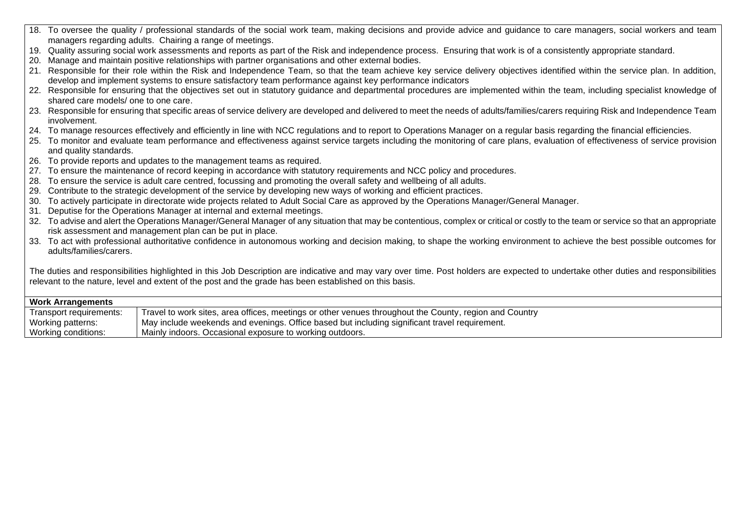- 18. To oversee the quality / professional standards of the social work team, making decisions and provide advice and guidance to care managers, social workers and team managers regarding adults. Chairing a range of meetings.
- 19. Quality assuring social work assessments and reports as part of the Risk and independence process. Ensuring that work is of a consistently appropriate standard.
- 20. Manage and maintain positive relationships with partner organisations and other external bodies.
- 21. Responsible for their role within the Risk and Independence Team, so that the team achieve key service delivery objectives identified within the service plan. In addition, develop and implement systems to ensure satisfactory team performance against key performance indicators
- 22. Responsible for ensuring that the objectives set out in statutory quidance and departmental procedures are implemented within the team, including specialist knowledge of shared care models/ one to one care.
- 23. Responsible for ensuring that specific areas of service delivery are developed and delivered to meet the needs of adults/families/carers requiring Risk and Independence Team involvement.
- 24. To manage resources effectively and efficiently in line with NCC regulations and to report to Operations Manager on a regular basis regarding the financial efficiencies.
- 25. To monitor and evaluate team performance and effectiveness against service targets including the monitoring of care plans, evaluation of effectiveness of service provision and quality standards.
- 26. To provide reports and updates to the management teams as required.
- 27. To ensure the maintenance of record keeping in accordance with statutory requirements and NCC policy and procedures.
- 28. To ensure the service is adult care centred, focussing and promoting the overall safety and wellbeing of all adults.
- 29. Contribute to the strategic development of the service by developing new ways of working and efficient practices.
- 30. To actively participate in directorate wide projects related to Adult Social Care as approved by the Operations Manager/General Manager.
- 31. Deputise for the Operations Manager at internal and external meetings.
- 32. To advise and alert the Operations Manager/General Manager of any situation that may be contentious, complex or critical or costly to the team or service so that an appropriate risk assessment and management plan can be put in place.
- 33. To act with professional authoritative confidence in autonomous working and decision making, to shape the working environment to achieve the best possible outcomes for adults/families/carers.

The duties and responsibilities highlighted in this Job Description are indicative and may vary over time. Post holders are expected to undertake other duties and responsibilities relevant to the nature, level and extent of the post and the grade has been established on this basis.

| <b>Work Arrangements</b> |                                                                                                        |  |  |
|--------------------------|--------------------------------------------------------------------------------------------------------|--|--|
| Transport requirements:  | Travel to work sites, area offices, meetings or other venues throughout the County, region and Country |  |  |
| Working patterns:        | May include weekends and evenings. Office based but including significant travel requirement.          |  |  |
| Working conditions:      | Mainly indoors. Occasional exposure to working outdoors.                                               |  |  |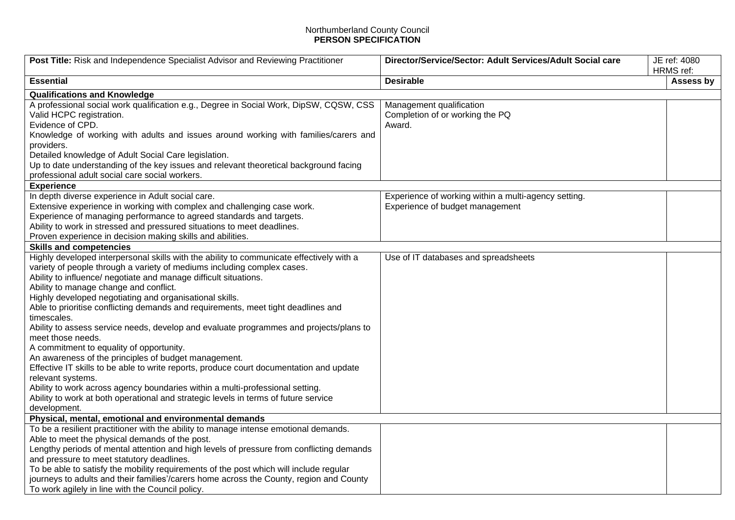## Northumberland County Council **PERSON SPECIFICATION**

| Post Title: Risk and Independence Specialist Advisor and Reviewing Practitioner                                                                                                                                                                                                                                                                                                                                                                                                                                                                                                                                                                                                                                                                                                                                                                                                                                                                                             | Director/Service/Sector: Adult Services/Adult Social care                               | JE ref: 4080<br>HRMS ref: |  |  |  |  |
|-----------------------------------------------------------------------------------------------------------------------------------------------------------------------------------------------------------------------------------------------------------------------------------------------------------------------------------------------------------------------------------------------------------------------------------------------------------------------------------------------------------------------------------------------------------------------------------------------------------------------------------------------------------------------------------------------------------------------------------------------------------------------------------------------------------------------------------------------------------------------------------------------------------------------------------------------------------------------------|-----------------------------------------------------------------------------------------|---------------------------|--|--|--|--|
| <b>Essential</b>                                                                                                                                                                                                                                                                                                                                                                                                                                                                                                                                                                                                                                                                                                                                                                                                                                                                                                                                                            | <b>Desirable</b>                                                                        | Assess by                 |  |  |  |  |
| <b>Qualifications and Knowledge</b>                                                                                                                                                                                                                                                                                                                                                                                                                                                                                                                                                                                                                                                                                                                                                                                                                                                                                                                                         |                                                                                         |                           |  |  |  |  |
| A professional social work qualification e.g., Degree in Social Work, DipSW, CQSW, CSS<br>Valid HCPC registration.<br>Evidence of CPD.                                                                                                                                                                                                                                                                                                                                                                                                                                                                                                                                                                                                                                                                                                                                                                                                                                      | Management qualification<br>Completion of or working the PQ<br>Award.                   |                           |  |  |  |  |
| Knowledge of working with adults and issues around working with families/carers and<br>providers.                                                                                                                                                                                                                                                                                                                                                                                                                                                                                                                                                                                                                                                                                                                                                                                                                                                                           |                                                                                         |                           |  |  |  |  |
| Detailed knowledge of Adult Social Care legislation.<br>Up to date understanding of the key issues and relevant theoretical background facing<br>professional adult social care social workers.                                                                                                                                                                                                                                                                                                                                                                                                                                                                                                                                                                                                                                                                                                                                                                             |                                                                                         |                           |  |  |  |  |
| <b>Experience</b>                                                                                                                                                                                                                                                                                                                                                                                                                                                                                                                                                                                                                                                                                                                                                                                                                                                                                                                                                           |                                                                                         |                           |  |  |  |  |
| In depth diverse experience in Adult social care.<br>Extensive experience in working with complex and challenging case work.<br>Experience of managing performance to agreed standards and targets.<br>Ability to work in stressed and pressured situations to meet deadlines.<br>Proven experience in decision making skills and abilities.                                                                                                                                                                                                                                                                                                                                                                                                                                                                                                                                                                                                                                | Experience of working within a multi-agency setting.<br>Experience of budget management |                           |  |  |  |  |
| <b>Skills and competencies</b>                                                                                                                                                                                                                                                                                                                                                                                                                                                                                                                                                                                                                                                                                                                                                                                                                                                                                                                                              |                                                                                         |                           |  |  |  |  |
| Highly developed interpersonal skills with the ability to communicate effectively with a<br>variety of people through a variety of mediums including complex cases.<br>Ability to influence/ negotiate and manage difficult situations.<br>Ability to manage change and conflict.<br>Highly developed negotiating and organisational skills.<br>Able to prioritise conflicting demands and requirements, meet tight deadlines and<br>timescales.<br>Ability to assess service needs, develop and evaluate programmes and projects/plans to<br>meet those needs.<br>A commitment to equality of opportunity.<br>An awareness of the principles of budget management.<br>Effective IT skills to be able to write reports, produce court documentation and update<br>relevant systems.<br>Ability to work across agency boundaries within a multi-professional setting.<br>Ability to work at both operational and strategic levels in terms of future service<br>development. | Use of IT databases and spreadsheets                                                    |                           |  |  |  |  |
| Physical, mental, emotional and environmental demands                                                                                                                                                                                                                                                                                                                                                                                                                                                                                                                                                                                                                                                                                                                                                                                                                                                                                                                       |                                                                                         |                           |  |  |  |  |
| To be a resilient practitioner with the ability to manage intense emotional demands.<br>Able to meet the physical demands of the post.<br>Lengthy periods of mental attention and high levels of pressure from conflicting demands<br>and pressure to meet statutory deadlines.<br>To be able to satisfy the mobility requirements of the post which will include regular<br>journeys to adults and their families'/carers home across the County, region and County                                                                                                                                                                                                                                                                                                                                                                                                                                                                                                        |                                                                                         |                           |  |  |  |  |
| To work agilely in line with the Council policy.                                                                                                                                                                                                                                                                                                                                                                                                                                                                                                                                                                                                                                                                                                                                                                                                                                                                                                                            |                                                                                         |                           |  |  |  |  |